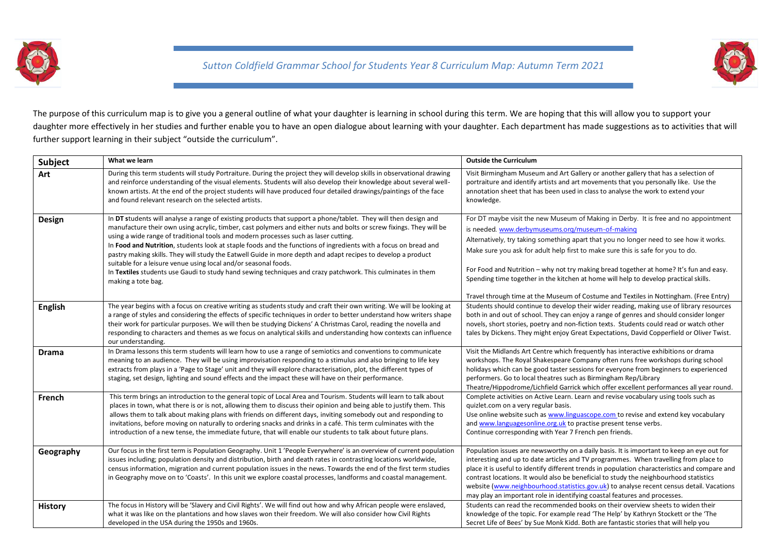

*Sutton Coldfield Grammar School for Students Year 8 Curriculum Map: Autumn Term 2021*



The purpose of this curriculum map is to give you a general outline of what your daughter is learning in school during this term. We are hoping that this will allow you to support your daughter more effectively in her studies and further enable you to have an open dialogue about learning with your daughter. Each department has made suggestions as to activities that will further support learning in their subject "outside the curriculum".

| <b>Subject</b> | What we learn                                                                                                                                                                                                                                                                                                                                                                                                                                                                                                                                                                                                                                                                                                                                                            | <b>Outside the Curriculum</b>                                                                                                                                                                                                                                                                                                                                                                                                                                                                                                                                                                   |
|----------------|--------------------------------------------------------------------------------------------------------------------------------------------------------------------------------------------------------------------------------------------------------------------------------------------------------------------------------------------------------------------------------------------------------------------------------------------------------------------------------------------------------------------------------------------------------------------------------------------------------------------------------------------------------------------------------------------------------------------------------------------------------------------------|-------------------------------------------------------------------------------------------------------------------------------------------------------------------------------------------------------------------------------------------------------------------------------------------------------------------------------------------------------------------------------------------------------------------------------------------------------------------------------------------------------------------------------------------------------------------------------------------------|
| Art            | During this term students will study Portraiture. During the project they will develop skills in observational drawing<br>and reinforce understanding of the visual elements. Students will also develop their knowledge about several well-<br>known artists. At the end of the project students will have produced four detailed drawings/paintings of the face<br>and found relevant research on the selected artists.                                                                                                                                                                                                                                                                                                                                                | Visit Birmingham Museum and Art Gallery or another gallery that has a selection of<br>portraiture and identify artists and art movements that you personally like. Use the<br>annotation sheet that has been used in class to analyse the work to extend your<br>knowledge.                                                                                                                                                                                                                                                                                                                     |
| Design         | In DT students will analyse a range of existing products that support a phone/tablet. They will then design and<br>manufacture their own using acrylic, timber, cast polymers and either nuts and bolts or screw fixings. They will be<br>using a wide range of traditional tools and modern processes such as laser cutting.<br>In Food and Nutrition, students look at staple foods and the functions of ingredients with a focus on bread and<br>pastry making skills. They will study the Eatwell Guide in more depth and adapt recipes to develop a product<br>suitable for a leisure venue using local and/or seasonal foods.<br>In Textiles students use Gaudi to study hand sewing techniques and crazy patchwork. This culminates in them<br>making a tote bag. | For DT maybe visit the new Museum of Making in Derby. It is free and no appointment<br>is needed, www.derbymuseums.org/museum-of-making<br>Alternatively, try taking something apart that you no longer need to see how it works.<br>Make sure you ask for adult help first to make sure this is safe for you to do.<br>For Food and Nutrition - why not try making bread together at home? It's fun and easy.<br>Spending time together in the kitchen at home will help to develop practical skills.<br>Travel through time at the Museum of Costume and Textiles in Nottingham. (Free Entry) |
| <b>English</b> | The year begins with a focus on creative writing as students study and craft their own writing. We will be looking at<br>a range of styles and considering the effects of specific techniques in order to better understand how writers shape<br>their work for particular purposes. We will then be studying Dickens' A Christmas Carol, reading the novella and<br>responding to characters and themes as we focus on analytical skills and understanding how contexts can influence<br>our understanding.                                                                                                                                                                                                                                                             | Students should continue to develop their wider reading, making use of library resources<br>both in and out of school. They can enjoy a range of genres and should consider longer<br>novels, short stories, poetry and non-fiction texts. Students could read or watch other<br>tales by Dickens. They might enjoy Great Expectations, David Copperfield or Oliver Twist.                                                                                                                                                                                                                      |
| <b>Drama</b>   | In Drama lessons this term students will learn how to use a range of semiotics and conventions to communicate<br>meaning to an audience. They will be using improvisation responding to a stimulus and also bringing to life key<br>extracts from plays in a 'Page to Stage' unit and they will explore characterisation, plot, the different types of<br>staging, set design, lighting and sound effects and the impact these will have on their performance.                                                                                                                                                                                                                                                                                                           | Visit the Midlands Art Centre which frequently has interactive exhibitions or drama<br>workshops. The Royal Shakespeare Company often runs free workshops during school<br>holidays which can be good taster sessions for everyone from beginners to experienced<br>performers. Go to local theatres such as Birmingham Rep/Library<br>Theatre/Hippodrome/Lichfield Garrick which offer excellent performances all year round.                                                                                                                                                                  |
| French         | This term brings an introduction to the general topic of Local Area and Tourism. Students will learn to talk about<br>places in town, what there is or is not, allowing them to discuss their opinion and being able to justify them. This<br>allows them to talk about making plans with friends on different days, inviting somebody out and responding to<br>invitations, before moving on naturally to ordering snacks and drinks in a café. This term culminates with the<br>introduction of a new tense, the immediate future, that will enable our students to talk about future plans.                                                                                                                                                                           | Complete activities on Active Learn. Learn and revise vocabulary using tools such as<br>quizlet.com on a very regular basis.<br>Use online website such as www.linguascope.com to revise and extend key vocabulary<br>and www.languagesonline.org.uk to practise present tense verbs.<br>Continue corresponding with Year 7 French pen friends.                                                                                                                                                                                                                                                 |
| Geography      | Our focus in the first term is Population Geography. Unit 1 'People Everywhere' is an overview of current population<br>issues including; population density and distribution, birth and death rates in contrasting locations worldwide,<br>census information, migration and current population issues in the news. Towards the end of the first term studies<br>in Geography move on to 'Coasts'. In this unit we explore coastal processes, landforms and coastal management.                                                                                                                                                                                                                                                                                         | Population issues are newsworthy on a daily basis. It is important to keep an eye out for<br>interesting and up to date articles and TV programmes. When travelling from place to<br>place it is useful to identify different trends in population characteristics and compare and<br>contrast locations. It would also be beneficial to study the neighbourhood statistics<br>website (www.neighbourhood.statistics.gov.uk) to analyse recent census detail. Vacations<br>may play an important role in identifying coastal features and processes.                                            |
| <b>History</b> | The focus in History will be 'Slavery and Civil Rights'. We will find out how and why African people were enslaved,<br>what it was like on the plantations and how slaves won their freedom. We will also consider how Civil Rights<br>developed in the USA during the 1950s and 1960s.                                                                                                                                                                                                                                                                                                                                                                                                                                                                                  | Students can read the recommended books on their overview sheets to widen their<br>knowledge of the topic. For example read 'The Help' by Kathryn Stockett or the 'The<br>Secret Life of Bees' by Sue Monk Kidd. Both are fantastic stories that will help you                                                                                                                                                                                                                                                                                                                                  |